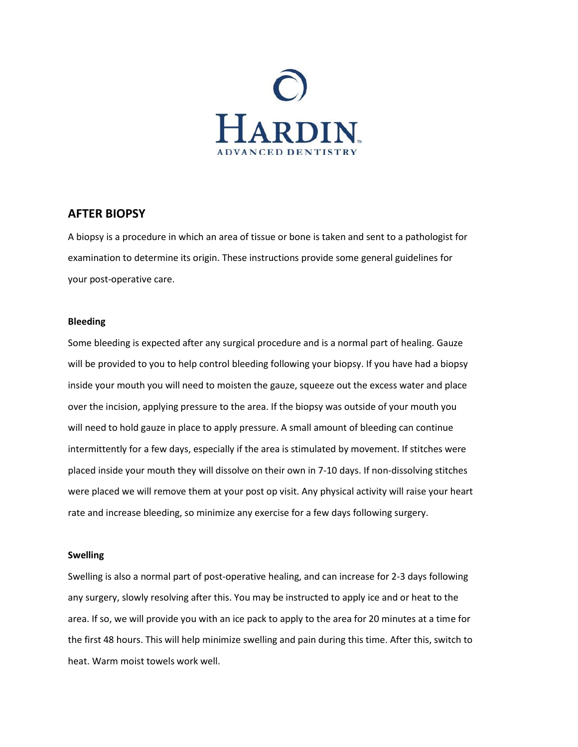

# **AFTER BIOPSY**

A biopsy is a procedure in which an area of tissue or bone is taken and sent to a pathologist for examination to determine its origin. These instructions provide some general guidelines for your post‐operative care.

# **Bleeding**

Some bleeding is expected after any surgical procedure and is a normal part of healing. Gauze will be provided to you to help control bleeding following your biopsy. If you have had a biopsy inside your mouth you will need to moisten the gauze, squeeze out the excess water and place over the incision, applying pressure to the area. If the biopsy was outside of your mouth you will need to hold gauze in place to apply pressure. A small amount of bleeding can continue intermittently for a few days, especially if the area is stimulated by movement. If stitches were placed inside your mouth they will dissolve on their own in 7‐10 days. If non‐dissolving stitches were placed we will remove them at your post op visit. Any physical activity will raise your heart rate and increase bleeding, so minimize any exercise for a few days following surgery.

## **Swelling**

Swelling is also a normal part of post‐operative healing, and can increase for 2‐3 days following any surgery, slowly resolving after this. You may be instructed to apply ice and or heat to the area. If so, we will provide you with an ice pack to apply to the area for 20 minutes at a time for the first 48 hours. This will help minimize swelling and pain during this time. After this, switch to heat. Warm moist towels work well.